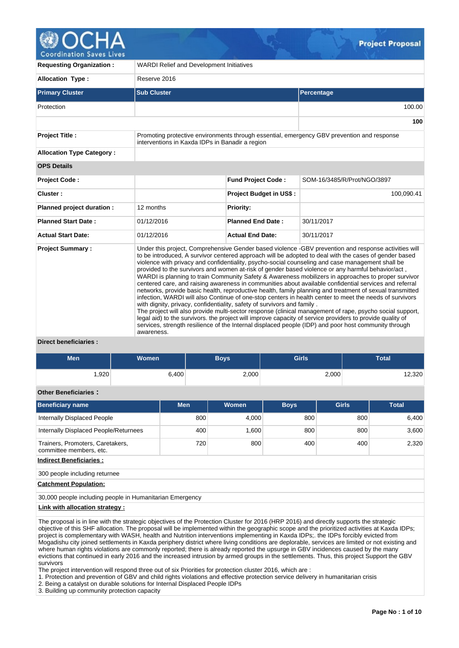| <b>Requesting Organization:</b>  | <b>WARDI Relief and Development Initiatives</b>                                                                                                                                                                                                                                                                                                                                                                                                                                                                                                                                                                                                                                                                                                                                                                                                                                                                                                                                                                                                                                                                                                                                                                                                                                          |                           |                             |  |  |  |  |  |  |
|----------------------------------|------------------------------------------------------------------------------------------------------------------------------------------------------------------------------------------------------------------------------------------------------------------------------------------------------------------------------------------------------------------------------------------------------------------------------------------------------------------------------------------------------------------------------------------------------------------------------------------------------------------------------------------------------------------------------------------------------------------------------------------------------------------------------------------------------------------------------------------------------------------------------------------------------------------------------------------------------------------------------------------------------------------------------------------------------------------------------------------------------------------------------------------------------------------------------------------------------------------------------------------------------------------------------------------|---------------------------|-----------------------------|--|--|--|--|--|--|
| <b>Allocation Type:</b>          | Reserve 2016                                                                                                                                                                                                                                                                                                                                                                                                                                                                                                                                                                                                                                                                                                                                                                                                                                                                                                                                                                                                                                                                                                                                                                                                                                                                             |                           |                             |  |  |  |  |  |  |
| <b>Primary Cluster</b>           | <b>Sub Cluster</b>                                                                                                                                                                                                                                                                                                                                                                                                                                                                                                                                                                                                                                                                                                                                                                                                                                                                                                                                                                                                                                                                                                                                                                                                                                                                       |                           | Percentage                  |  |  |  |  |  |  |
| Protection                       |                                                                                                                                                                                                                                                                                                                                                                                                                                                                                                                                                                                                                                                                                                                                                                                                                                                                                                                                                                                                                                                                                                                                                                                                                                                                                          |                           | 100.00                      |  |  |  |  |  |  |
|                                  |                                                                                                                                                                                                                                                                                                                                                                                                                                                                                                                                                                                                                                                                                                                                                                                                                                                                                                                                                                                                                                                                                                                                                                                                                                                                                          |                           | 100                         |  |  |  |  |  |  |
| <b>Project Title:</b>            | Promoting protective environments through essential, emergency GBV prevention and response                                                                                                                                                                                                                                                                                                                                                                                                                                                                                                                                                                                                                                                                                                                                                                                                                                                                                                                                                                                                                                                                                                                                                                                               |                           |                             |  |  |  |  |  |  |
| <b>Allocation Type Category:</b> |                                                                                                                                                                                                                                                                                                                                                                                                                                                                                                                                                                                                                                                                                                                                                                                                                                                                                                                                                                                                                                                                                                                                                                                                                                                                                          |                           |                             |  |  |  |  |  |  |
| <b>OPS Details</b>               |                                                                                                                                                                                                                                                                                                                                                                                                                                                                                                                                                                                                                                                                                                                                                                                                                                                                                                                                                                                                                                                                                                                                                                                                                                                                                          |                           |                             |  |  |  |  |  |  |
| <b>Project Code:</b>             |                                                                                                                                                                                                                                                                                                                                                                                                                                                                                                                                                                                                                                                                                                                                                                                                                                                                                                                                                                                                                                                                                                                                                                                                                                                                                          | <b>Fund Project Code:</b> | SOM-16/3485/R/Prot/NGO/3897 |  |  |  |  |  |  |
| Cluster:                         |                                                                                                                                                                                                                                                                                                                                                                                                                                                                                                                                                                                                                                                                                                                                                                                                                                                                                                                                                                                                                                                                                                                                                                                                                                                                                          | Project Budget in US\$:   | 100,090.41                  |  |  |  |  |  |  |
| Planned project duration :       | 12 months                                                                                                                                                                                                                                                                                                                                                                                                                                                                                                                                                                                                                                                                                                                                                                                                                                                                                                                                                                                                                                                                                                                                                                                                                                                                                | Priority:                 |                             |  |  |  |  |  |  |
| <b>Planned Start Date:</b>       | 01/12/2016                                                                                                                                                                                                                                                                                                                                                                                                                                                                                                                                                                                                                                                                                                                                                                                                                                                                                                                                                                                                                                                                                                                                                                                                                                                                               | <b>Planned End Date:</b>  | 30/11/2017                  |  |  |  |  |  |  |
| <b>Actual Start Date:</b>        | 01/12/2016                                                                                                                                                                                                                                                                                                                                                                                                                                                                                                                                                                                                                                                                                                                                                                                                                                                                                                                                                                                                                                                                                                                                                                                                                                                                               | <b>Actual End Date:</b>   | 30/11/2017                  |  |  |  |  |  |  |
| <b>Project Summary:</b><br>.     | Under this project, Comprehensive Gender based violence -GBV prevention and response activities will<br>to be introduced. A survivor centered approach will be adopted to deal with the cases of gender based<br>violence with privacy and confidentiality, psycho-social counseling and case management shall be<br>provided to the survivors and women at-risk of gender based violence or any harmful behavior/act,<br>WARDI is planning to train Community Safety & Awareness mobilizers in approaches to proper survivor<br>centered care, and raising awareness in communities about available confidential services and referral<br>networks, provide basic health, reproductive health, family planning and treatment of sexual transmitted<br>infection, WARDI will also Continue of one-stop centers in health center to meet the needs of survivors<br>with dignity, privacy, confidentiality, safety of survivors and family.<br>The project will also provide multi-sector response (clinical management of rape, psycho social support,<br>legal aid) to the survivors. the project will improve capacity of service providers to provide quality of<br>services, strength resilience of the Internal displaced people (IDP) and poor host community through<br>awareness. |                           |                             |  |  |  |  |  |  |

## **Direct beneficiaries :**

| <b>Men</b> | Women | Boys  | <b>Girls</b> | <b>Total</b> |
|------------|-------|-------|--------------|--------------|
| .920       | 6,400 | 2,000 | 2,000        | 12,320       |

# **Other Beneficiaries :**

| <b>Beneficiary name</b>                                     | <b>Men</b> | Women | <b>Boys</b> | <b>Girls</b> | <b>Total</b> |  |  |  |  |  |  |
|-------------------------------------------------------------|------------|-------|-------------|--------------|--------------|--|--|--|--|--|--|
| Internally Displaced People                                 | 800        | 4,000 | 800         | 800          | 6,400        |  |  |  |  |  |  |
| Internally Displaced People/Returnees                       | 400        | 1,600 | 800         | 800          | 3,600        |  |  |  |  |  |  |
| Trainers, Promoters, Caretakers,<br>committee members, etc. | 720        | 800   | 400         | 400          | 2,320        |  |  |  |  |  |  |
| <b>Indirect Beneficiaries:</b>                              |            |       |             |              |              |  |  |  |  |  |  |
| 300 people including returnee                               |            |       |             |              |              |  |  |  |  |  |  |
| <b>Catchment Population:</b>                                |            |       |             |              |              |  |  |  |  |  |  |
| 30,000 people including people in Humanitarian Emergency    |            |       |             |              |              |  |  |  |  |  |  |

**Link with allocation strategy :**

The proposal is in line with the strategic objectives of the Protection Cluster for 2016 (HRP 2016) and directly supports the strategic objective of this SHF allocation. The proposal will be implemented within the geographic scope and the prioritized activities at Kaxda IDPs; project is complementary with WASH, health and Nutrition interventions implementing in Kaxda IDPs;. the IDPs forcibly evicted from Mogadishu city joined settlements in Kaxda periphery district where living conditions are deplorable, services are limited or not existing and where human rights violations are commonly reported; there is already reported the upsurge in GBV incidences caused by the many evictions that continued in early 2016 and the increased intrusion by armed groups in the settlements. Thus, this project Support the GBV survivors

The project intervention will respond three out of six Priorities for protection cluster 2016, which are :

1. Protection and prevention of GBV and child rights violations and effective protection service delivery in humanitarian crisis

2. Being a catalyst on durable solutions for Internal Displaced People IDPs

3. Building up community protection capacity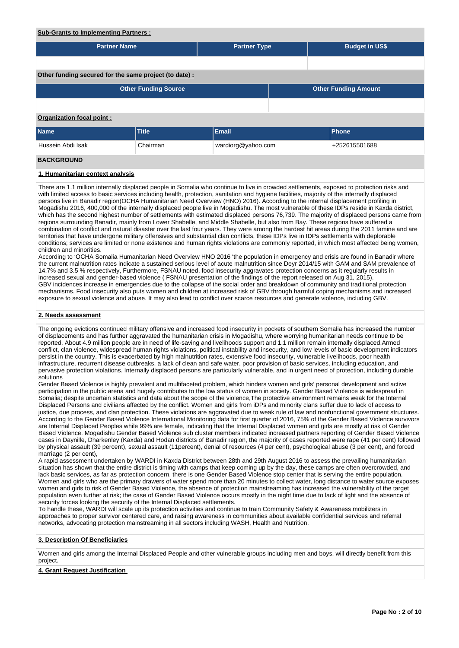### **Sub-Grants to Implementing Partners :**

| <b>Partner Name</b>                                                                                                                                                                                                                                                                                                                                                                                                         |                             | <b>Partner Type</b> |  | <b>Budget in US\$</b>       |  |  |  |  |  |
|-----------------------------------------------------------------------------------------------------------------------------------------------------------------------------------------------------------------------------------------------------------------------------------------------------------------------------------------------------------------------------------------------------------------------------|-----------------------------|---------------------|--|-----------------------------|--|--|--|--|--|
|                                                                                                                                                                                                                                                                                                                                                                                                                             |                             |                     |  |                             |  |  |  |  |  |
|                                                                                                                                                                                                                                                                                                                                                                                                                             |                             |                     |  |                             |  |  |  |  |  |
| Other funding secured for the same project (to date):                                                                                                                                                                                                                                                                                                                                                                       |                             |                     |  |                             |  |  |  |  |  |
|                                                                                                                                                                                                                                                                                                                                                                                                                             | <b>Other Funding Source</b> |                     |  | <b>Other Funding Amount</b> |  |  |  |  |  |
|                                                                                                                                                                                                                                                                                                                                                                                                                             |                             |                     |  |                             |  |  |  |  |  |
| Organization focal point:                                                                                                                                                                                                                                                                                                                                                                                                   |                             |                     |  |                             |  |  |  |  |  |
| <b>Name</b>                                                                                                                                                                                                                                                                                                                                                                                                                 | <b>Title</b>                | <b>Email</b>        |  | Phone                       |  |  |  |  |  |
| Hussein Abdi Isak                                                                                                                                                                                                                                                                                                                                                                                                           | Chairman                    | wardiorg@yahoo.com  |  | +252615501688               |  |  |  |  |  |
| <b>BACKGROUND</b>                                                                                                                                                                                                                                                                                                                                                                                                           |                             |                     |  |                             |  |  |  |  |  |
| 1. Humanitarian context analysis                                                                                                                                                                                                                                                                                                                                                                                            |                             |                     |  |                             |  |  |  |  |  |
| There are 1.1 million internally displaced people in Somalia who continue to live in crowded settlements, exposed to protection risks and<br>with limited access to basic services including health, protection, sanitation and hygiene facilities, majority of the internally displaced<br>persons live in Banadir region(OCHA Humanitarian Need Overview (HNO) 2016). According to the internal displacement profiling in |                             |                     |  |                             |  |  |  |  |  |

Mogadishu 2016, 400,000 of the internally displaced people live in Mogadishu. The most vulnerable of these IDPs reside in Kaxda district, which has the second highest number of settlements with estimated displaced persons 76,739. The majority of displaced persons came from regions surrounding Banadir, mainly from Lower Shabelle, and Middle Shabelle, but also from Bay. These regions have suffered a combination of conflict and natural disaster over the last four years. They were among the hardest hit areas during the 2011 famine and are territories that have undergone military offensives and substantial clan conflicts, these IDPs live in IDPs settlements with deplorable conditions; services are limited or none existence and human rights violations are commonly reported, in which most affected being women, children and minorities.

According to 'OCHA Somalia Humanitarian Need Overview HNO 2016 'the population in emergency and crisis are found in Banadir where the current malnutrition rates indicate a sustained serious level of acute malnutrition since Deyr 2014/15 with GAM and SAM prevalence of 14.7% and 3.5 % respectively, Furthermore, FSNAU noted, food insecurity aggravates protection concerns as it regularly results in increased sexual and gender-based violence ( FSNAU presentation of the findings of the report released on Aug 31, 2015). GBV incidences increase in emergencies due to the collapse of the social order and breakdown of community and traditional protection mechanisms. Food insecurity also puts women and children at increased risk of GBV through harmful coping mechanisms and increased exposure to sexual violence and abuse. It may also lead to conflict over scarce resources and generate violence, including GBV.

#### **2. Needs assessment**

The ongoing evictions continued military offensive and increased food insecurity in pockets of southern Somalia has increased the number of displacements and has further aggravated the humanitarian crisis in Mogadishu, where worrying humanitarian needs continue to be reported, About 4.9 million people are in need of life-saving and livelihoods support and 1.1 million remain internally displaced.Armed conflict, clan violence, widespread human rights violations, political instability and insecurity, and low levels of basic development indicators persist in the country. This is exacerbated by high malnutrition rates, extensive food insecurity, vulnerable livelihoods, poor health infrastructure, recurrent disease outbreaks, a lack of clean and safe water, poor provision of basic services, including education, and pervasive protection violations. Internally displaced persons are particularly vulnerable, and in urgent need of protection, including durable solutions

Gender Based Violence is highly prevalent and multifaceted problem, which hinders women and girls' personal development and active participation in the public arena and hugely contributes to the low status of women in society. Gender Based Violence is widespread in Somalia; despite uncertain statistics and data about the scope of the violence,The protective environment remains weak for the Internal Displaced Persons and civilians affected by the conflict. Women and girls from iDPs and minority clans suffer due to lack of access to justice, due process, and clan protection. These violations are aggravated due to weak rule of law and nonfunctional government structures. According to the Gender Based Violence International Monitoring data for first quarter of 2016, 75% of the Gender Based Violence survivors are Internal Displaced Peoples while 99% are female, indicating that the Internal Displaced women and girls are mostly at risk of Gender Based Violence. Mogadishu Gender Based Violence sub cluster members indicated increased partners reporting of Gender Based Violence cases in Daynille, Dharkenley (Kaxda) and Hodan districts of Banadir region, the majority of cases reported were rape (41 per cent) followed by physical assault (39 percent), sexual assault (11percent), denial of resources (4 per cent), psychological abuse (3 per cent), and forced marriage (2 per cent),

A rapid assessment undertaken by WARDI in Kaxda District between 28th and 29th August 2016 to assess the prevailing humanitarian situation has shown that the entire district is timing with camps that keep coming up by the day, these camps are often overcrowded, and lack basic services, as far as protection concern, there is one Gender Based Violence stop center that is serving the entire population. Women and girls who are the primary drawers of water spend more than 20 minutes to collect water, long distance to water source exposes women and girls to risk of Gender Based Violence, the absence of protection mainstreaming has increased the vulnerability of the target population even further at risk; the case of Gender Based Violence occurs mostly in the night time due to lack of light and the absence of security forces looking the security of the Internal Displaced settlements.

To handle these, WARDI will scale up its protection activities and continue to train Community Safety & Awareness mobilizers in approaches to proper survivor centered care, and raising awareness in communities about available confidential services and referral networks, advocating protection mainstreaming in all sectors including WASH, Health and Nutrition.

#### **3. Description Of Beneficiaries**

Women and girls among the Internal Displaced People and other vulnerable groups including men and boys. will directly benefit from this project.

#### **4. Grant Request Justification**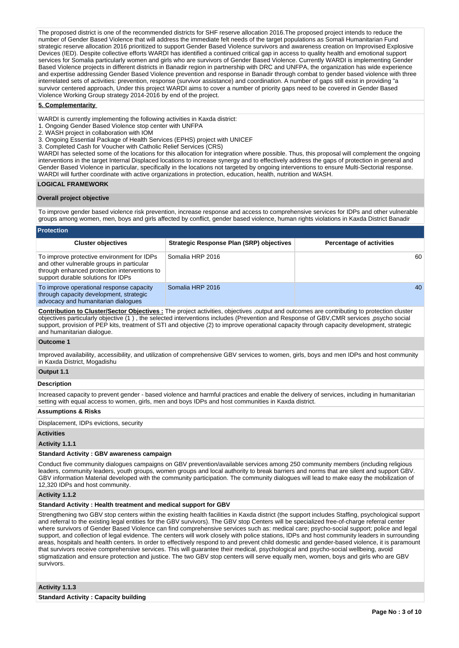The proposed district is one of the recommended districts for SHF reserve allocation 2016.The proposed project intends to reduce the number of Gender Based Violence that will address the immediate felt needs of the target populations as Somali Humanitarian Fund strategic reserve allocation 2016 prioritized to support Gender Based Violence survivors and awareness creation on Improvised Explosive Devices (IED). Despite collective efforts WARDI has identified a continued critical gap in access to quality health and emotional support services for Somalia particularly women and girls who are survivors of Gender Based Violence. Currently WARDI is implementing Gender Based Violence projects in different districts in Banadir region in partnership with DRC and UNFPA, the organization has wide experience and expertise addressing Gender Based Violence prevention and response in Banadir through combat to gender based violence with three interrelated sets of activities: prevention, response (survivor assistance) and coordination. A number of gaps still exist in providing "a survivor centered approach, Under this project WARDI aims to cover a number of priority gaps need to be covered in Gender Based Violence Working Group strategy 2014-2016 by end of the project.

#### **5. Complementarity**

- WARDI is currently implementing the following activities in Kaxda district:
- 1. Ongoing Gender Based Violence stop center with UNFPA
- 2. WASH project in collaboration with IOM
- 3. Ongoing Essential Package of Health Services (EPHS) project with UNICEF
- 3. Completed Cash for Voucher with Catholic Relief Services (CRS)

WARDI has selected some of the locations for this allocation for integration where possible. Thus, this proposal will complement the ongoing interventions in the target Internal Displaced locations to increase synergy and to effectively address the gaps of protection in general and Gender Based Violence in particular, specifically in the locations not targeted by ongoing interventions to ensure Multi-Sectorial response. WARDI will further coordinate with active organizations in protection, education, health, nutrition and WASH.

#### **LOGICAL FRAMEWORK**

#### **Overall project objective**

To improve gender based violence risk prevention, increase response and access to comprehensive services for IDPs and other vulnerable groups among women, men, boys and girls affected by conflict, gender based violence, human rights violations in Kaxda District Banadir

| <b>Protection</b>                                                                                                                                                             |                                          |                                 |  |  |  |  |  |  |  |
|-------------------------------------------------------------------------------------------------------------------------------------------------------------------------------|------------------------------------------|---------------------------------|--|--|--|--|--|--|--|
| <b>Cluster objectives</b>                                                                                                                                                     | Strategic Response Plan (SRP) objectives | <b>Percentage of activities</b> |  |  |  |  |  |  |  |
| To improve protective environment for IDPs<br>and other vulnerable groups in particular<br>through enhanced protection interventions to<br>support durable solutions for IDPs | Somalia HRP 2016                         | 60                              |  |  |  |  |  |  |  |
| To improve operational response capacity<br>through capacity development, strategic<br>advocacy and humanitarian dialogues                                                    | Somalia HRP 2016                         | 40                              |  |  |  |  |  |  |  |

**Contribution to Cluster/Sector Objectives :** The project activities, objectives ,output and outcomes are contributing to protection cluster objectives particularly objective (1 ) , the selected interventions includes (Prevention and Response of GBV,CMR services ,psycho social support, provision of PEP kits, treatment of STI and objective (2) to improve operational capacity through capacity development, strategic and humanitarian dialogue.

#### **Outcome 1**

Improved availability, accessibility, and utilization of comprehensive GBV services to women, girls, boys and men IDPs and host community in Kaxda District, Mogadishu

#### **Output 1.1**

#### **Description**

Increased capacity to prevent gender - based violence and harmful practices and enable the delivery of services, including in humanitarian setting with equal access to women, girls, men and boys IDPs and host communities in Kaxda district.

#### **Assumptions & Risks**

Displacement, IDPs evictions, security

#### **Activities**

#### **Activity 1.1.1**

#### **Standard Activity : GBV awareness campaign**

Conduct five community dialogues campaigns on GBV prevention/available services among 250 community members (including religious leaders, community leaders, youth groups, women groups and local authority to break barriers and norms that are silent and support GBV. GBV information Material developed with the community participation. The community dialogues will lead to make easy the mobilization of 12,320 IDPs and host community.

#### **Activity 1.1.2**

#### **Standard Activity : Health treatment and medical support for GBV**

Strengthening two GBV stop centers within the existing health facilities in Kaxda district (the support includes Staffing, psychological support and referral to the existing legal entities for the GBV survivors). The GBV stop Centers will be specialized free-of-charge referral center where survivors of Gender Based Violence can find comprehensive services such as: medical care; psycho-social support; police and legal support, and collection of legal evidence. The centers will work closely with police stations, IDPs and host community leaders in surrounding areas, hospitals and health centers. In order to effectively respond to and prevent child domestic and gender-based violence, it is paramount that survivors receive comprehensive services. This will guarantee their medical, psychological and psycho-social wellbeing, avoid stigmatization and ensure protection and justice. The two GBV stop centers will serve equally men, women, boys and girls who are GBV survivors.

#### **Activity 1.1.3**

**Standard Activity : Capacity building**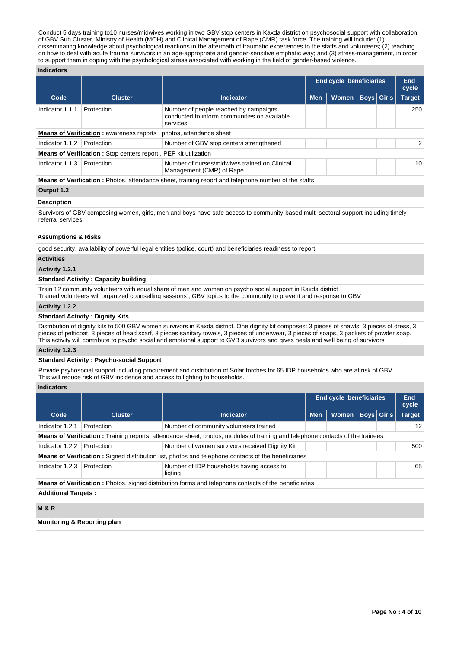Conduct 5 days training to10 nurses/midwives working in two GBV stop centers in Kaxda district on psychosocial support with collaboration of GBV Sub Cluster, Ministry of Health (MOH) and Clinical Management of Rape (CMR) task force. The training will include: (1) disseminating knowledge about psychological reactions in the aftermath of traumatic experiences to the staffs and volunteers; (2) teaching on how to deal with acute trauma survivors in an age-appropriate and gender-sensitive emphatic way; and (3) stress-management, in order to support them in coping with the psychological stress associated with working in the field of gender-based violence.

#### **Indicators**

|                 |                                                                           |                                                                                                             |            | End cycle beneficiaries |             | <b>End</b><br>cycle |
|-----------------|---------------------------------------------------------------------------|-------------------------------------------------------------------------------------------------------------|------------|-------------------------|-------------|---------------------|
| Code            | <b>Cluster</b>                                                            | Indicator                                                                                                   | <b>Men</b> | <b>Women</b>            | Boys  Girls | <b>Target</b>       |
| Indicator 1.1.1 | Protection                                                                | Number of people reached by campaigns<br>conducted to inform communities on available<br>services           |            |                         |             | 250                 |
|                 | <b>Means of Verification:</b> awareness reports, photos, attendance sheet |                                                                                                             |            |                         |             |                     |
| Indicator 1.1.2 | Protection                                                                | Number of GBV stop centers strengthened                                                                     |            |                         |             | $\overline{2}$      |
|                 | <b>Means of Verification:</b> Stop centers report, PEP kit utilization    |                                                                                                             |            |                         |             |                     |
| Indicator 1.1.3 | Protection                                                                | Number of nurses/midwives trained on Clinical<br>Management (CMR) of Rape                                   |            |                         |             | 10                  |
|                 |                                                                           | <b>Means of Verification</b> : Photos, attendance sheet, training report and telephone number of the staffs |            |                         |             |                     |

# **Output 1.2**

# **Description**

Survivors of GBV composing women, girls, men and boys have safe access to community-based multi-sectoral support including timely referral services.

#### **Assumptions & Risks**

good security, availability of powerful legal entities (police, court) and beneficiaries readiness to report

#### **Activities**

**Activity 1.2.1** 

#### **Standard Activity : Capacity building**

Train 12 community volunteers with equal share of men and women on psycho social support in Kaxda district Trained volunteers will organized counselling sessions , GBV topics to the community to prevent and response to GBV

#### **Activity 1.2.2**

#### **Standard Activity : Dignity Kits**

Distribution of dignity kits to 500 GBV women survivors in Kaxda district. One dignity kit composes: 3 pieces of shawls, 3 pieces of dress, 3 pieces of petticoat, 3 pieces of head scarf, 3 pieces sanitary towels, 3 pieces of underwear, 3 pieces of soaps, 3 packets of powder soap. This activity will contribute to psycho social and emotional support to GVB survivors and gives heals and well being of survivors

#### **Activity 1.2.3**

#### **Standard Activity : Psycho-social Support**

Provide psyhosocial support including procurement and distribution of Solar torches for 65 IDP households who are at risk of GBV. This will reduce risk of GBV incidence and access to lighting to households.

#### **Indicators**

|                             |                |                                                                                                                               | <b>End cycle beneficiaries</b> |              |                   |  | End<br>cycle  |  |  |
|-----------------------------|----------------|-------------------------------------------------------------------------------------------------------------------------------|--------------------------------|--------------|-------------------|--|---------------|--|--|
| Code                        | <b>Cluster</b> | Indicator                                                                                                                     | <b>Men</b>                     | <b>Women</b> | <b>Boys</b> Girls |  | <b>Target</b> |  |  |
| Indicator 1.2.1             | Protection     | Number of community volunteers trained                                                                                        |                                |              |                   |  | 12            |  |  |
|                             |                | Means of Verification: Training reports, attendance sheet, photos, modules of training and telephone contacts of the trainees |                                |              |                   |  |               |  |  |
| Indicator 1.2.2             | Protection     | Number of women survivors received Dignity Kit<br>500                                                                         |                                |              |                   |  |               |  |  |
|                             |                | <b>Means of Verification:</b> Signed distribution list, photos and telephone contacts of the beneficiaries                    |                                |              |                   |  |               |  |  |
| Indicator 1.2.3             | Protection     | Number of IDP households having access to<br>ligting                                                                          |                                |              |                   |  |               |  |  |
|                             |                | <b>Means of Verification</b> : Photos, signed distribution forms and telephone contacts of the beneficiaries                  |                                |              |                   |  |               |  |  |
| <b>Additional Targets:</b>  |                |                                                                                                                               |                                |              |                   |  |               |  |  |
| <b>M&amp;R</b>              |                |                                                                                                                               |                                |              |                   |  |               |  |  |
| Monitoring & Reporting plan |                |                                                                                                                               |                                |              |                   |  |               |  |  |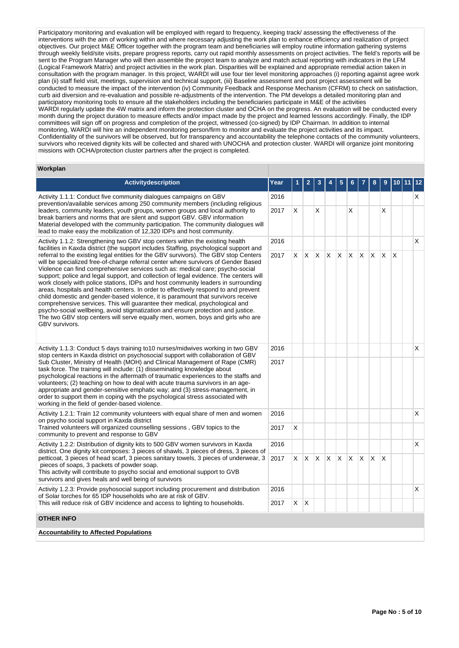Participatory monitoring and evaluation will be employed with regard to frequency, keeping track/ assessing the effectiveness of the interventions with the aim of working within and where necessary adjusting the work plan to enhance efficiency and realization of project objectives. Our project M&E Officer together with the program team and beneficiaries will employ routine information gathering systems through weekly field/site visits, prepare progress reports, carry out rapid monthly assessments on project activities. The field's reports will be sent to the Program Manager who will then assemble the project team to analyze and match actual reporting with indicators in the LFM (Logical Framework Matrix) and project activities in the work plan. Disparities will be explained and appropriate remedial action taken in consultation with the program manager. In this project, WARDI will use four tier level monitoring approaches (i) reporting against agree work plan (ii) staff field visit, meetings, supervision and technical support, (iii) Baseline assessment and post project assessment will be conducted to measure the impact of the intervention (iv) Community Feedback and Response Mechanism (CFRM) to check on satisfaction, curb aid diversion and re-evaluation and possible re-adjustments of the intervention. The PM develops a detailed monitoring plan and participatory monitoring tools to ensure all the stakeholders including the beneficiaries participate in M&E of the activities WARDI regularly update the 4W matrix and inform the protection cluster and OCHA on the progress. An evaluation will be conducted every month during the project duration to measure effects and/or impact made by the project and learned lessons accordingly. Finally, the IDP committees will sign off on progress and completion of the project, witnessed (co-signed) by IDP Chairman. In addition to internal monitoring, WARDI will hire an independent monitoring person/firm to monitor and evaluate the project activities and its impact. Confidentiality of the survivors will be observed, but for transparency and accountability the telephone contacts of the community volunteers, survivors who received dignity kits will be collected and shared with UNOCHA and protection cluster. WARDI will organize joint monitoring missions with OCHA/protection cluster partners after the project is completed.

#### **Workplan**

| <b>Activitydescription</b>                                                                                                                                                                                                                                                                                                                                                                                                                                                                                                                                                                                                                                                                                                                                                                                                                                                                   | Year |    |          |          |              |              |              |     |   |          |   |   |
|----------------------------------------------------------------------------------------------------------------------------------------------------------------------------------------------------------------------------------------------------------------------------------------------------------------------------------------------------------------------------------------------------------------------------------------------------------------------------------------------------------------------------------------------------------------------------------------------------------------------------------------------------------------------------------------------------------------------------------------------------------------------------------------------------------------------------------------------------------------------------------------------|------|----|----------|----------|--------------|--------------|--------------|-----|---|----------|---|---|
| Activity 1.1.1: Conduct five community dialogues campaigns on GBV<br>prevention/available services among 250 community members (including religious                                                                                                                                                                                                                                                                                                                                                                                                                                                                                                                                                                                                                                                                                                                                          | 2016 |    |          |          |              |              |              |     |   |          |   | X |
| leaders, community leaders, youth groups, women groups and local authority to<br>break barriers and norms that are silent and support GBV. GBV information<br>Material developed with the community participation. The community dialogues will<br>lead to make easy the mobilization of 12,320 IDPs and host community.                                                                                                                                                                                                                                                                                                                                                                                                                                                                                                                                                                     | 2017 | X  |          | X        |              |              | X            |     |   | X        |   |   |
| Activity 1.1.2: Strengthening two GBV stop centers within the existing health<br>facilities in Kaxda district (the support includes Staffing, psychological support and                                                                                                                                                                                                                                                                                                                                                                                                                                                                                                                                                                                                                                                                                                                      | 2016 |    |          |          |              |              |              |     |   |          |   | X |
| referral to the existing legal entities for the GBV survivors). The GBV stop Centers<br>will be specialized free-of-charge referral center where survivors of Gender Based<br>Violence can find comprehensive services such as: medical care; psycho-social<br>support; police and legal support, and collection of legal evidence. The centers will<br>work closely with police stations, IDPs and host community leaders in surrounding<br>areas, hospitals and health centers. In order to effectively respond to and prevent<br>child domestic and gender-based violence, it is paramount that survivors receive<br>comprehensive services. This will guarantee their medical, psychological and<br>psycho-social wellbeing, avoid stigmatization and ensure protection and justice.<br>The two GBV stop centers will serve equally men, women, boys and girls who are<br>GBV survivors. | 2017 | X. | X.       | ΙX.      | $\mathsf{X}$ | $\mathsf{X}$ | $\mathsf{X}$ | IX. | X | <b>X</b> | X |   |
| 2016<br>Activity 1.1.3: Conduct 5 days training to 10 nurses/midwives working in two GBV<br>stop centers in Kaxda district on psychosocial support with collaboration of GBV                                                                                                                                                                                                                                                                                                                                                                                                                                                                                                                                                                                                                                                                                                                 |      |    |          |          |              |              |              |     |   |          |   | X |
| Sub Cluster, Ministry of Health (MOH) and Clinical Management of Rape (CMR)<br>task force. The training will include: (1) disseminating knowledge about<br>psychological reactions in the aftermath of traumatic experiences to the staffs and<br>volunteers; (2) teaching on how to deal with acute trauma survivors in an age-<br>appropriate and gender-sensitive emphatic way; and (3) stress-management, in<br>order to support them in coping with the psychological stress associated with<br>working in the field of gender-based violence.                                                                                                                                                                                                                                                                                                                                          | 2017 |    |          |          |              |              |              |     |   |          |   |   |
| Activity 1.2.1: Train 12 community volunteers with equal share of men and women<br>on psycho social support in Kaxda district                                                                                                                                                                                                                                                                                                                                                                                                                                                                                                                                                                                                                                                                                                                                                                | 2016 |    |          |          |              |              |              |     |   |          |   | X |
| Trained volunteers will organized counselling sessions, GBV topics to the<br>community to prevent and response to GBV                                                                                                                                                                                                                                                                                                                                                                                                                                                                                                                                                                                                                                                                                                                                                                        | 2017 | X  |          |          |              |              |              |     |   |          |   |   |
| Activity 1.2.2: Distribution of dignity kits to 500 GBV women survivors in Kaxda<br>district. One dignity kit composes: 3 pieces of shawls, 3 pieces of dress, 3 pieces of                                                                                                                                                                                                                                                                                                                                                                                                                                                                                                                                                                                                                                                                                                                   | 2016 |    |          |          |              |              |              |     |   |          |   | X |
| petticoat, 3 pieces of head scarf, 3 pieces sanitary towels, 3 pieces of underwear, 3<br>pieces of soaps, 3 packets of powder soap.<br>This activity will contribute to psycho social and emotional support to GVB<br>survivors and gives heals and well being of survivors                                                                                                                                                                                                                                                                                                                                                                                                                                                                                                                                                                                                                  | 2017 | X. | <b>X</b> | <b>X</b> | $\mathsf{X}$ | ΙX.          | X            | X   | X | $\times$ |   |   |
| Activity 1.2.3: Provide psyhosocial support including procurement and distribution<br>of Solar torches for 65 IDP households who are at risk of GBV.                                                                                                                                                                                                                                                                                                                                                                                                                                                                                                                                                                                                                                                                                                                                         | 2016 |    |          |          |              |              |              |     |   |          |   | X |
| This will reduce risk of GBV incidence and access to lighting to households.                                                                                                                                                                                                                                                                                                                                                                                                                                                                                                                                                                                                                                                                                                                                                                                                                 | 2017 | X. | $\times$ |          |              |              |              |     |   |          |   |   |
| <b>OTHER INFO</b>                                                                                                                                                                                                                                                                                                                                                                                                                                                                                                                                                                                                                                                                                                                                                                                                                                                                            |      |    |          |          |              |              |              |     |   |          |   |   |
| <b>Accountability to Affected Populations</b>                                                                                                                                                                                                                                                                                                                                                                                                                                                                                                                                                                                                                                                                                                                                                                                                                                                |      |    |          |          |              |              |              |     |   |          |   |   |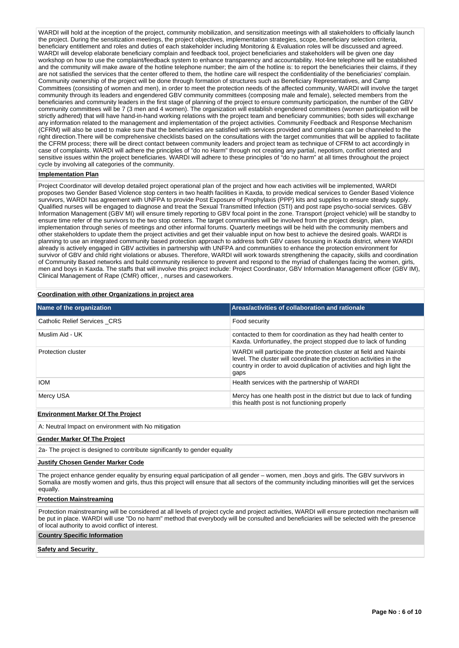WARDI will hold at the inception of the project, community mobilization, and sensitization meetings with all stakeholders to officially launch the project. During the sensitization meetings, the project objectives, implementation strategies, scope, beneficiary selection criteria, beneficiary entitlement and roles and duties of each stakeholder including Monitoring & Evaluation roles will be discussed and agreed. WARDI will develop elaborate beneficiary complain and feedback tool, project beneficiaries and stakeholders will be given one day workshop on how to use the complaint/feedback system to enhance transparency and accountability. Hot-line telephone will be established and the community will make aware of the hotline telephone number; the aim of the hotline is: to report the beneficiaries their claims, if they are not satisfied the services that the center offered to them, the hotline care will respect the confidentiality of the beneficiaries' complain. Community ownership of the project will be done through formation of structures such as Beneficiary Representatives, and Camp Committees (consisting of women and men), in order to meet the protection needs of the affected community, WARDI will involve the target community through its leaders and engendered GBV community committees (composing male and female), selected members from the beneficiaries and community leaders in the first stage of planning of the project to ensure community participation, the number of the GBV community committees will be 7 (3 men and 4 women). The organization will establish engendered committees (women participation will be strictly adhered) that will have hand-in-hand working relations with the project team and beneficiary communities; both sides will exchange any information related to the management and implementation of the project activities. Community Feedback and Response Mechanism (CFRM) will also be used to make sure that the beneficiaries are satisfied with services provided and complaints can be channeled to the right direction. There will be comprehensive checklists based on the consultations with the target communities that will be applied to facilitate the CFRM process; there will be direct contact between community leaders and project team as technique of CFRM to act accordingly in case of complaints. WARDI will adhere the principles of "do no Harm" through not creating any partial, nepotism, conflict oriented and sensitive issues within the project beneficiaries. WARDI will adhere to these principles of "do no harm" at all times throughout the project cycle by involving all categories of the community.

#### **Implementation Plan**

Project Coordinator will develop detailed project operational plan of the project and how each activities will be implemented, WARDI proposes two Gender Based Violence stop centers in two health facilities in Kaxda, to provide medical services to Gender Based Violence survivors, WARDI has agreement with UNFPA to provide Post Exposure of Prophylaxis (PPP) kits and supplies to ensure steady supply. Qualified nurses will be engaged to diagnose and treat the Sexual Transmitted Infection (STI) and post rape psycho-social services. GBV Information Management (GBV MI) will ensure timely reporting to GBV focal point in the zone. Transport (project vehicle) will be standby to ensure time refer of the survivors to the two stop centers. The target communities will be involved from the project design, plan, implementation through series of meetings and other informal forums. Quarterly meetings will be held with the community members and other stakeholders to update them the project activities and get their valuable input on how best to achieve the desired goals. WARDI is planning to use an integrated community based protection approach to address both GBV cases focusing in Kaxda district, where WARDI already is actively engaged in GBV activities in partnership with UNFPA and communities to enhance the protection environment for survivor of GBV and child right violations or abuses. Therefore, WARDI will work towards strengthening the capacity, skills and coordination of Community Based networks and build community resilience to prevent and respond to the myriad of challenges facing the women, girls, men and boys in Kaxda. The staffs that will involve this project include: Project Coordinator, GBV Information Management officer (GBV IM), Clinical Management of Rape (CMR) officer, , nurses and caseworkers.

#### **Coordination with other Organizations in project area**

| Name of the organization     | Areas/activities of collaboration and rationale                                                                                                                                                                             |
|------------------------------|-----------------------------------------------------------------------------------------------------------------------------------------------------------------------------------------------------------------------------|
| Catholic Relief Services CRS | Food security                                                                                                                                                                                                               |
| Muslim Aid - UK              | contacted to them for coordination as they had health center to<br>Kaxda. Unfortunatley, the project stopped due to lack of funding                                                                                         |
| Protection cluster           | WARDI will participate the protection cluster at field and Nairobi<br>level. The cluster will coordinate the protection activities in the<br>country in order to avoid duplication of activities and high light the<br>gaps |
| <b>IOM</b>                   | Health services with the partnership of WARDI                                                                                                                                                                               |
| Mercy USA                    | Mercy has one health post in the district but due to lack of funding<br>this health post is not functioning properly                                                                                                        |

#### **Environment Marker Of The Project**

A: Neutral Impact on environment with No mitigation

#### **Gender Marker Of The Project**

2a- The project is designed to contribute significantly to gender equality

#### **Justify Chosen Gender Marker Code**

The project enhance gender equality by ensuring equal participation of all gender – women, men ,boys and girls. The GBV survivors in Somalia are mostly women and girls, thus this project will ensure that all sectors of the community including minorities will get the services equally.

#### **Protection Mainstreaming**

Protection mainstreaming will be considered at all levels of project cycle and project activities, WARDI will ensure protection mechanism will be put in place. WARDI will use "Do no harm" method that everybody will be consulted and beneficiaries will be selected with the presence of local authority to avoid conflict of interest.

#### **Country Specific Information**

#### **Safety and Security**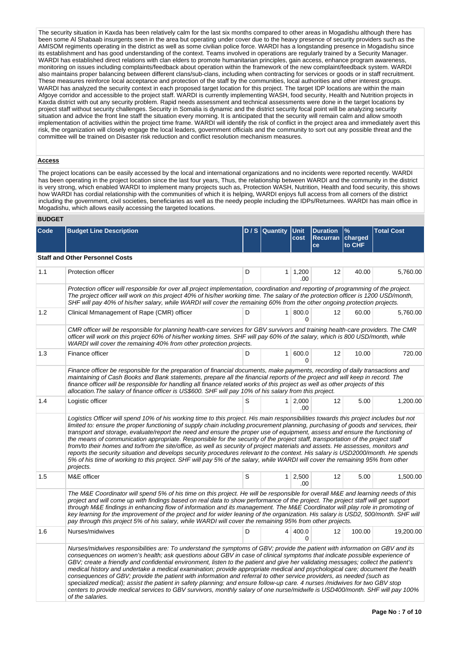The security situation in Kaxda has been relatively calm for the last six months compared to other areas in Mogadishu although there has been some Al Shabaab insurgents seen in the area but operating under cover due to the heavy presence of security providers such as the AMISOM regiments operating in the district as well as some civilian police force. WARDI has a longstanding presence in Mogadishu since its establishment and has good understanding of the context. Teams involved in operations are regularly trained by a Security Manager. WARDI has established direct relations with clan elders to promote humanitarian principles, gain access, enhance program awareness, monitoring on issues including complaints/feedback about operation within the framework of the new complaint/feedback system. WARDI also maintains proper balancing between different clans/sub-clans, including when contracting for services or goods or in staff recruitment. These measures reinforce local acceptance and protection of the staff by the communities, local authorities and other interest groups. WARDI has analyzed the security context in each proposed target location for this project. The target IDP locations are within the main Afgoye corridor and accessible to the project staff. WARDI is currently implementing WASH, food security, Health and Nutrition projects in Kaxda district with out any security problem. Rapid needs assessment and technical assessments were done in the target locations by project staff without security challenges. Security in Somalia is dynamic and the district security focal point will be analyzing security situation and advice the front line staff the situation every morning. It is anticipated that the security will remain calm and allow smooth implementation of activities within the project time frame. WARDI will identify the risk of conflict in the project area and immediately avert this risk, the organization will closely engage the local leaders, government officials and the community to sort out any possible threat and the committee will be trained on Disaster risk reduction and conflict resolution mechanism measures.

#### **Access**

The project locations can be easily accessed by the local and international organizations and no incidents were reported recently. WARDI has been operating in the project location since the last four years, Thus, the relationship between WARDI and the community in the district is very strong, which enabled WARDI to implement many projects such as, Protection WASH, Nutrition, Health and food security, this shows how WARDI has cordial relationship with the communities of which it is helping, WARDI enjoys full access from all corners of the district including the government, civil societies, beneficiaries as well as the needy people including the IDPs/Returnees. WARDI has main office in Mogadishu, which allows easily accessing the targeted locations.

# **BUDGET**

| Code | <b>Budget Line Description</b>                                                                                                                                                                                                                                                                                                                                                                                                                                                                                                                                                                                                                                                                                                                                                                                                                                                                                                                                   |   | D / S Quantity | <b>Unit</b><br>cost   | <b>Duration</b><br>Recurran<br>ce | $\%$<br>charged<br>to CHF | <b>Total Cost</b> |  |  |
|------|------------------------------------------------------------------------------------------------------------------------------------------------------------------------------------------------------------------------------------------------------------------------------------------------------------------------------------------------------------------------------------------------------------------------------------------------------------------------------------------------------------------------------------------------------------------------------------------------------------------------------------------------------------------------------------------------------------------------------------------------------------------------------------------------------------------------------------------------------------------------------------------------------------------------------------------------------------------|---|----------------|-----------------------|-----------------------------------|---------------------------|-------------------|--|--|
|      | <b>Staff and Other Personnel Costs</b>                                                                                                                                                                                                                                                                                                                                                                                                                                                                                                                                                                                                                                                                                                                                                                                                                                                                                                                           |   |                |                       |                                   |                           |                   |  |  |
| 1.1  | Protection officer                                                                                                                                                                                                                                                                                                                                                                                                                                                                                                                                                                                                                                                                                                                                                                                                                                                                                                                                               | D |                | $1 \mid 1,200$<br>.00 | 12                                | 40.00                     | 5,760.00          |  |  |
|      | Protection officer will responsible for over all project implementation, coordination and reporting of programming of the project.<br>The project officer will work on this project 40% of his/her working time. The salary of the protection officer is 1200 USD/month,<br>SHF will pay 40% of his/her salary, while WARDI will cover the remaining 60% from the other ongoing protection projects.                                                                                                                                                                                                                                                                                                                                                                                                                                                                                                                                                             |   |                |                       |                                   |                           |                   |  |  |
| 1.2  | Clinical Mmanagement of Rape (CMR) officer                                                                                                                                                                                                                                                                                                                                                                                                                                                                                                                                                                                                                                                                                                                                                                                                                                                                                                                       | D |                | 1   800.0<br>0        | 12                                | 60.00                     | 5.760.00          |  |  |
|      | CMR officer will be responsible for planning health-care services for GBV survivors and training health-care providers. The CMR<br>officer will work on this project 60% of his/her working times. SHF will pay 60% of the salary, which is 800 USD/month, while<br>WARDI will cover the remaining 40% from other protection projects.                                                                                                                                                                                                                                                                                                                                                                                                                                                                                                                                                                                                                           |   |                |                       |                                   |                           |                   |  |  |
| 1.3  | Finance officer                                                                                                                                                                                                                                                                                                                                                                                                                                                                                                                                                                                                                                                                                                                                                                                                                                                                                                                                                  | D | 1 <sup>1</sup> | 600.0<br>0            | 12                                | 10.00                     | 720.00            |  |  |
|      | Finance officer be responsible for the preparation of financial documents, make payments, recording of daily transactions and<br>maintaining of Cash Books and Bank statements, prepare all the financial reports of the project and will keep in record. The<br>finance officer will be responsible for handling all finance related works of this project as well as other projects of this<br>allocation. The salary of finance officer is US\$600. SHF will pay 10% of his salary from this project.                                                                                                                                                                                                                                                                                                                                                                                                                                                         |   |                |                       |                                   |                           |                   |  |  |
| 1.4  | Logistic officer                                                                                                                                                                                                                                                                                                                                                                                                                                                                                                                                                                                                                                                                                                                                                                                                                                                                                                                                                 | S |                | $1 \mid 2,000$<br>.00 | 12                                | 5.00                      | 1,200.00          |  |  |
|      | Logistics Officer will spend 10% of his working time to this project. His main responsibilities towards this project includes but not<br>limited to: ensure the proper functioning of supply chain including procurement planning, purchasing of goods and services, their<br>transport and storage, evaluate/report the need and ensure the proper use of equipment, assess and ensure the functioning of<br>the means of communication appropriate. Responsible for the security of the project staff, transportation of the project staff<br>from/to their homes and to/from the site/office, as well as security of project materials and assets. He assesses, monitors and<br>reports the security situation and develops security procedures relevant to the context. His salary is USD2000/month. He spends<br>5% of his time of working to this project. SHF will pay 5% of the salary, while WARDI will cover the remaining 95% from other<br>projects. |   |                |                       |                                   |                           |                   |  |  |
| 1.5  | M&E officer                                                                                                                                                                                                                                                                                                                                                                                                                                                                                                                                                                                                                                                                                                                                                                                                                                                                                                                                                      | S |                | $1 \, 2,500$<br>.00.  | $12 \overline{ }$                 | 5.00                      | 1,500.00          |  |  |
|      | The M&E Coordinator will spend 5% of his time on this project. He will be responsible for overall M&E and learning needs of this<br>project and will come up with findings based on real data to show performance of the project. The project staff will get support<br>through M&E findings in enhancing flow of information and its management. The M&E Coordinator will play role in promoting of<br>key learning for the improvement of the project and for wider leaning of the organization. His salary is USD2, 500/month. SHF will<br>pay through this project 5% of his salary, while WARDI will cover the remaining 95% from other projects.                                                                                                                                                                                                                                                                                                           |   |                |                       |                                   |                           |                   |  |  |
| 1.6  | Nurses/midwives                                                                                                                                                                                                                                                                                                                                                                                                                                                                                                                                                                                                                                                                                                                                                                                                                                                                                                                                                  | D |                | 4   400.0<br>0        | 12                                | 100.00                    | 19,200.00         |  |  |
|      | Nurses/midwives responsibilities are: To understand the symptoms of GBV; provide the patient with information on GBV and its<br>consequences on women's health; ask questions about GBV in case of clinical symptoms that indicate possible experience of<br>GBV; create a friendly and confidential environment, listen to the patient and give her validating messages; collect the patient's<br>medical history and undertake a medical examination; provide appropriate medical and psychological care; document the health<br>consequences of GBV; provide the patient with information and referral to other service providers, as needed (such as<br>specialized medical); assist the patient in safety planning; and ensure follow-up care. 4 nurses /midwives for two GBV stop<br>centers to provide medical services to GBV survivors, monthly salary of one nurse/midwife is USD400/month. SHF will pay 100%<br>of the salaries.                      |   |                |                       |                                   |                           |                   |  |  |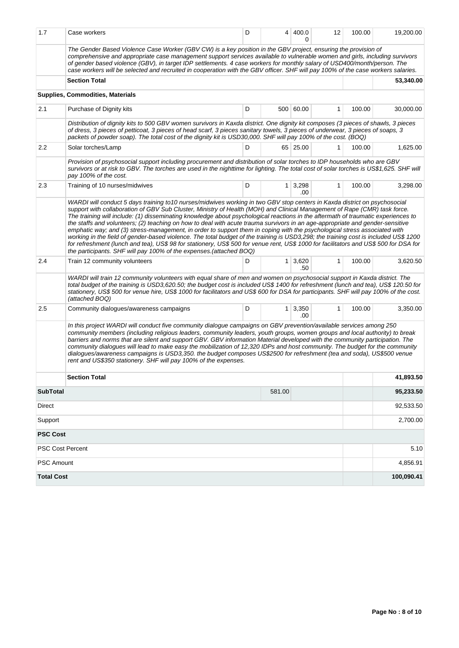| 1.7                     | Case workers                                                                                                                                                                                                                                                                                                                                                                                                                                                                                                                                                                                                                                                                                                                                            | D | 4      | 400.0<br>0            | 12           | 100.00 | 19,200.00  |  |  |
|-------------------------|---------------------------------------------------------------------------------------------------------------------------------------------------------------------------------------------------------------------------------------------------------------------------------------------------------------------------------------------------------------------------------------------------------------------------------------------------------------------------------------------------------------------------------------------------------------------------------------------------------------------------------------------------------------------------------------------------------------------------------------------------------|---|--------|-----------------------|--------------|--------|------------|--|--|
|                         | The Gender Based Violence Case Worker (GBV CW) is a key position in the GBV project, ensuring the provision of<br>comprehensive and appropriate case management support services available to vulnerable women and girls, including survivors<br>of gender based violence (GBV), in target IDP settlements. 4 case workers for monthly salary of USD400/month/person. The<br>case workers will be selected and recruited in cooperation with the GBV officer. SHF will pay 100% of the case workers salaries.                                                                                                                                                                                                                                           |   |        |                       |              |        |            |  |  |
|                         | <b>Section Total</b>                                                                                                                                                                                                                                                                                                                                                                                                                                                                                                                                                                                                                                                                                                                                    |   |        |                       |              |        | 53,340.00  |  |  |
|                         | Supplies, Commodities, Materials                                                                                                                                                                                                                                                                                                                                                                                                                                                                                                                                                                                                                                                                                                                        |   |        |                       |              |        |            |  |  |
| 2.1                     | Purchase of Dignity kits                                                                                                                                                                                                                                                                                                                                                                                                                                                                                                                                                                                                                                                                                                                                | D |        | 500 60.00             | $\mathbf{1}$ | 100.00 | 30,000.00  |  |  |
|                         | Distribution of dignity kits to 500 GBV women survivors in Kaxda district. One dignity kit composes (3 pieces of shawls, 3 pieces<br>of dress, 3 pieces of petticoat, 3 pieces of head scarf, 3 pieces sanitary towels, 3 pieces of underwear, 3 pieces of soaps, 3<br>packets of powder soap). The total cost of the dignity kit is USD30,000. SHF will pay 100% of the cost. (BOQ)                                                                                                                                                                                                                                                                                                                                                                    |   |        |                       |              |        |            |  |  |
| $2.2\,$                 | Solar torches/Lamp                                                                                                                                                                                                                                                                                                                                                                                                                                                                                                                                                                                                                                                                                                                                      | D |        | 65 25.00              | 1            | 100.00 | 1,625.00   |  |  |
|                         | Provision of psychosocial support including procurement and distribution of solar torches to IDP households who are GBV<br>survivors or at risk to GBV. The torches are used in the nighttime for lighting. The total cost of solar torches is US\$1,625. SHF will<br>pay 100% of the cost.                                                                                                                                                                                                                                                                                                                                                                                                                                                             |   |        |                       |              |        |            |  |  |
| 2.3                     | Training of 10 nurses/midwives                                                                                                                                                                                                                                                                                                                                                                                                                                                                                                                                                                                                                                                                                                                          | D |        | $1 \mid 3,298$<br>.00 | $\mathbf{1}$ | 100.00 | 3,298.00   |  |  |
|                         | The training will include: (1) disseminating knowledge about psychological reactions in the aftermath of traumatic experiences to<br>the staffs and volunteers; (2) teaching on how to deal with acute trauma survivors in an age-appropriate and gender-sensitive<br>emphatic way; and (3) stress-management, in order to support them in coping with the psychological stress associated with<br>working in the field of gender-based violence. The total budget of the training is USD3,298; the training cost is included US\$ 1200<br>for refreshment (lunch and tea), US\$ 98 for stationery, US\$ 500 for venue rent, US\$ 1000 for facilitators and US\$ 500 for DSA for<br>the participants. SHF will pay 100% of the expenses. (attached BOQ) |   |        |                       |              |        |            |  |  |
| 2.4                     | Train 12 community volunteers                                                                                                                                                                                                                                                                                                                                                                                                                                                                                                                                                                                                                                                                                                                           | D |        | $1 \mid 3,620$<br>.50 | $\mathbf{1}$ | 100.00 | 3,620.50   |  |  |
|                         | WARDI will train 12 community volunteers with equal share of men and women on psychosocial support in Kaxda district. The<br>total budget of the training is USD3,620.50; the budget cost is included US\$ 1400 for refreshment (lunch and tea), US\$ 120.50 for<br>stationery, US\$ 500 for venue hire, US\$ 1000 for facilitators and US\$ 600 for DSA for participants. SHF will pay 100% of the cost.<br>(attached BOQ)                                                                                                                                                                                                                                                                                                                             |   |        |                       |              |        |            |  |  |
| 2.5                     | Community dialogues/awareness campaigns                                                                                                                                                                                                                                                                                                                                                                                                                                                                                                                                                                                                                                                                                                                 | D |        | $1 \mid 3,350$<br>.00 | $\mathbf{1}$ | 100.00 | 3,350.00   |  |  |
|                         | In this project WARDI will conduct five community dialogue campaigns on GBV prevention/available services among 250<br>community members (including religious leaders, community leaders, youth groups, women groups and local authority) to break<br>barriers and norms that are silent and support GBV. GBV information Material developed with the community participation. The<br>community dialogues will lead to make easy the mobilization of 12,320 IDPs and host community. The budget for the community<br>dialogues/awareness campaigns is USD3,350. the budget composes US\$2500 for refreshment (tea and soda), US\$500 venue<br>rent and US\$350 stationery. SHF will pay 100% of the expenses.                                           |   |        |                       |              |        |            |  |  |
|                         | <b>Section Total</b>                                                                                                                                                                                                                                                                                                                                                                                                                                                                                                                                                                                                                                                                                                                                    |   |        |                       |              |        | 41,893.50  |  |  |
| <b>SubTotal</b>         |                                                                                                                                                                                                                                                                                                                                                                                                                                                                                                                                                                                                                                                                                                                                                         |   | 581.00 |                       |              |        | 95,233.50  |  |  |
| Direct                  |                                                                                                                                                                                                                                                                                                                                                                                                                                                                                                                                                                                                                                                                                                                                                         |   |        |                       |              |        | 92,533.50  |  |  |
| Support                 |                                                                                                                                                                                                                                                                                                                                                                                                                                                                                                                                                                                                                                                                                                                                                         |   |        |                       |              |        | 2,700.00   |  |  |
| <b>PSC Cost</b>         |                                                                                                                                                                                                                                                                                                                                                                                                                                                                                                                                                                                                                                                                                                                                                         |   |        |                       |              |        |            |  |  |
| <b>PSC Cost Percent</b> |                                                                                                                                                                                                                                                                                                                                                                                                                                                                                                                                                                                                                                                                                                                                                         |   |        |                       |              |        | 5.10       |  |  |
| <b>PSC Amount</b>       |                                                                                                                                                                                                                                                                                                                                                                                                                                                                                                                                                                                                                                                                                                                                                         |   |        |                       |              |        | 4,856.91   |  |  |
| <b>Total Cost</b>       |                                                                                                                                                                                                                                                                                                                                                                                                                                                                                                                                                                                                                                                                                                                                                         |   |        |                       |              |        | 100,090.41 |  |  |